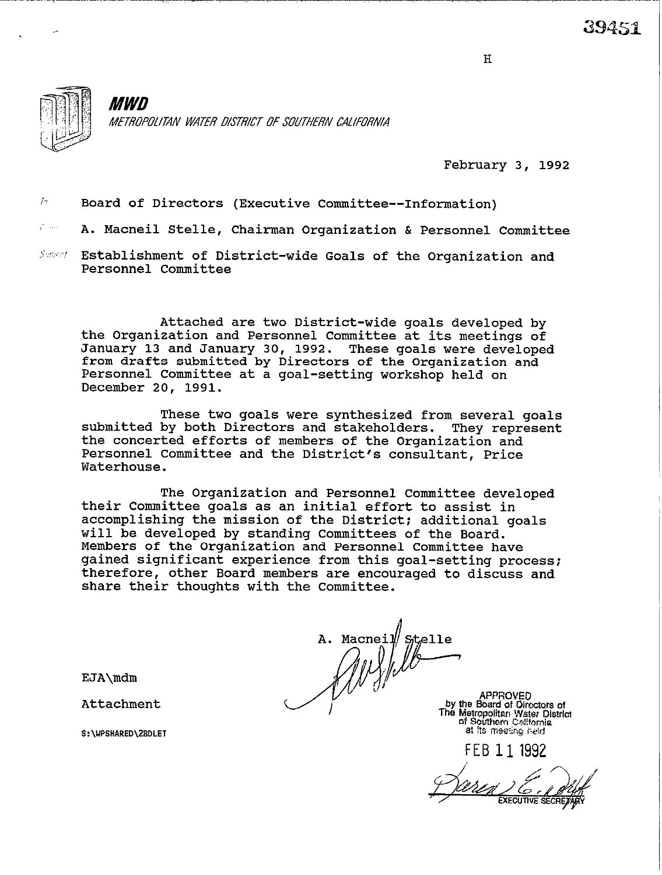

*MWD* METROPOLITAN WATER DISTRICT OF SOUTHERN CALIFORNIA

February 3, 1992

 $H$ 

 $\beta$  Board of Directors (Executive Committee--Information)

 $\mathcal{E}$  . Since A. Macneil Stelle, Chairman Organization & Personnel Committee

Samed Establishment of District-wide Goals of the Organization and Personnel Committee

Attached are two District-wide goals developed by the Organization and Personnel Committee at its meetings of January 13 and January 30, 1992. These goals were developed from drafts submitted by Directors of the Organization and Personnel Committee at a goal-setting workshop held on December 20, 1991.

These two goals were synthesized from several goals submitted by both Directors and stakeholders. They represent the concerted efforts of members of the Organization and Personnel Committee and the District's consultant, Price Waterhouse.

The Organization and Personnel Committee developed their Committee goals as an initial effort to assist in accomplishing the mission of the District: additional goals will be developed by standing Committees of the Board. Members of the Organization and Personnel Committee have gained significant experience from this goal-setting process; therefore, other Board members are encouraged to discuss and share their thoughts with the Committee.

A. Macneil Stelle Austr

EJA\mdm

Attachment

**S:\WPSHARED\ZBDLET** 

by the Board of Directors of The Mattopolitar Water District<br>of Southern California at its meeting held

FEB 111992

**EXECUTIVE SECRE**